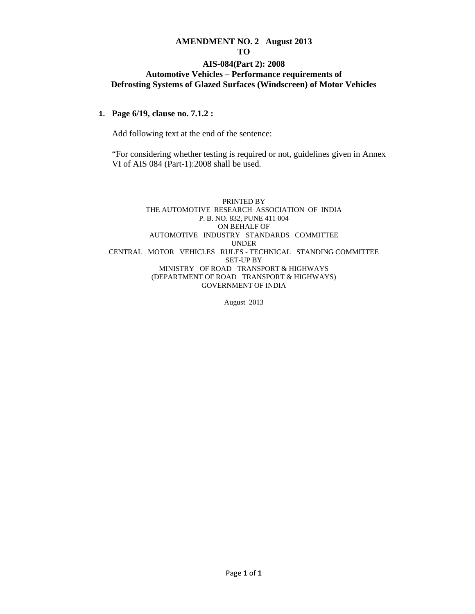# **AMENDMENT NO. 2 August 2013**

#### **TO**

#### **AIS-084(Part 2): 2008 Automotive Vehicles – Performance requirements of Defrosting Systems of Glazed Surfaces (Windscreen) of Motor Vehicles**

#### **1. Page 6/19, clause no. 7.1.2 :**

Add following text at the end of the sentence:

 "For considering whether testing is required or not, guidelines given in Annex VI of AIS 084 (Part-1):2008 shall be used.

#### PRINTED BY THE AUTOMOTIVE RESEARCH ASSOCIATION OF INDIA P. B. NO. 832, PUNE 411 004 ON BEHALF OF AUTOMOTIVE INDUSTRY STANDARDS COMMITTEE UNDER CENTRAL MOTOR VEHICLES RULES - TECHNICAL STANDING COMMITTEE SET-UP BY MINISTRY OF ROAD TRANSPORT & HIGHWAYS (DEPARTMENT OF ROAD TRANSPORT & HIGHWAYS) GOVERNMENT OF INDIA

August 2013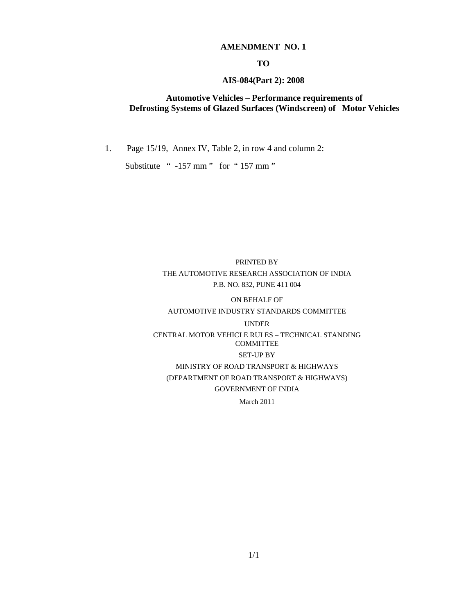#### **AMENDMENT NO. 1**

#### **TO**

#### **AIS-084(Part 2): 2008**

#### **Automotive Vehicles – Performance requirements of Defrosting Systems of Glazed Surfaces (Windscreen) of Motor Vehicles**

1. Page 15/19, Annex IV, Table 2, in row 4 and column 2:

Substitute " -157 mm " for "157 mm "

# PRINTED BY THE AUTOMOTIVE RESEARCH ASSOCIATION OF INDIA P.B. NO. 832, PUNE 411 004

# ON BEHALF OF

# AUTOMOTIVE INDUSTRY STANDARDS COMMITTEE

#### UNDER

CENTRAL MOTOR VEHICLE RULES – TECHNICAL STANDING COMMITTEE SET-UP BY MINISTRY OF ROAD TRANSPORT & HIGHWAYS

(DEPARTMENT OF ROAD TRANSPORT & HIGHWAYS) GOVERNMENT OF INDIA

March 2011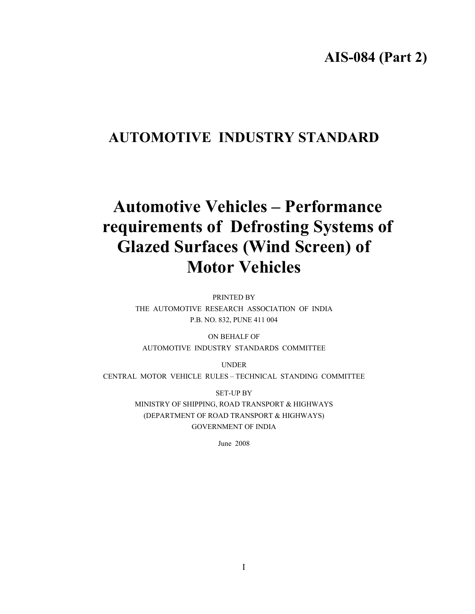# **AIS-084 (Part 2)**

# **AUTOMOTIVE INDUSTRY STANDARD**

# **Automotive Vehicles – Performance requirements of Defrosting Systems of Glazed Surfaces (Wind Screen) of Motor Vehicles**

PRINTED BY THE AUTOMOTIVE RESEARCH ASSOCIATION OF INDIA P.B. NO. 832, PUNE 411 004

ON BEHALF OF AUTOMOTIVE INDUSTRY STANDARDS COMMITTEE

UNDER CENTRAL MOTOR VEHICLE RULES – TECHNICAL STANDING COMMITTEE

> SET-UP BY MINISTRY OF SHIPPING, ROAD TRANSPORT & HIGHWAYS (DEPARTMENT OF ROAD TRANSPORT & HIGHWAYS) GOVERNMENT OF INDIA

> > June 2008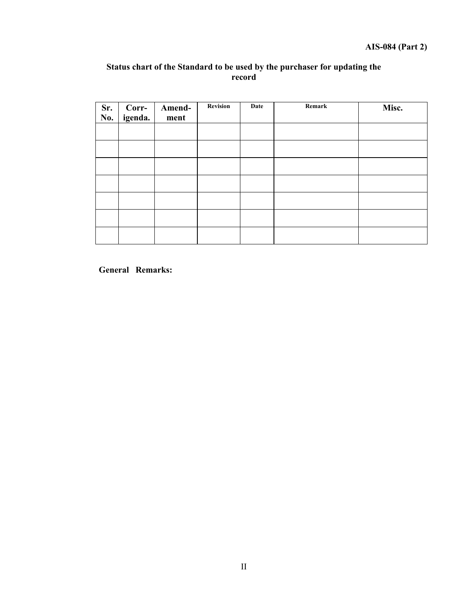# **Status chart of the Standard to be used by the purchaser for updating the record**

| $\overline{\text{Sr.}}$<br>No. | Corr-<br>igenda. | Amend-<br>ment | Revision | Date | Remark | Misc. |
|--------------------------------|------------------|----------------|----------|------|--------|-------|
|                                |                  |                |          |      |        |       |
|                                |                  |                |          |      |        |       |
|                                |                  |                |          |      |        |       |
|                                |                  |                |          |      |        |       |
|                                |                  |                |          |      |        |       |
|                                |                  |                |          |      |        |       |
|                                |                  |                |          |      |        |       |

**General Remarks:**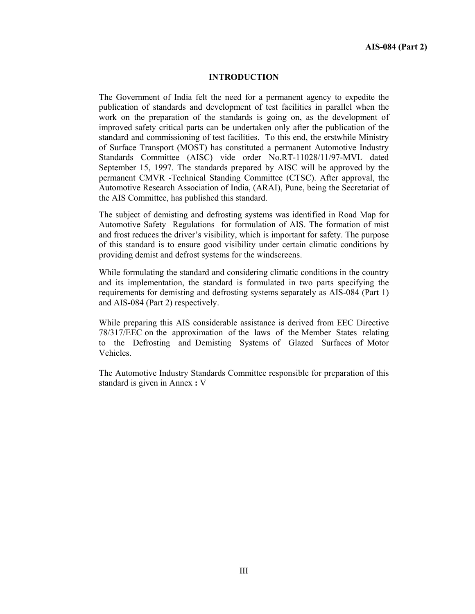#### **INTRODUCTION**

The Government of India felt the need for a permanent agency to expedite the publication of standards and development of test facilities in parallel when the work on the preparation of the standards is going on, as the development of improved safety critical parts can be undertaken only after the publication of the standard and commissioning of test facilities. To this end, the erstwhile Ministry of Surface Transport (MOST) has constituted a permanent Automotive Industry Standards Committee (AISC) vide order No.RT-11028/11/97-MVL dated September 15, 1997. The standards prepared by AISC will be approved by the permanent CMVR -Technical Standing Committee (CTSC). After approval, the Automotive Research Association of India, (ARAI), Pune, being the Secretariat of the AIS Committee, has published this standard.

The subject of demisting and defrosting systems was identified in Road Map for Automotive Safety Regulations for formulation of AIS. The formation of mist and frost reduces the driver's visibility, which is important for safety. The purpose of this standard is to ensure good visibility under certain climatic conditions by providing demist and defrost systems for the windscreens.

While formulating the standard and considering climatic conditions in the country and its implementation, the standard is formulated in two parts specifying the requirements for demisting and defrosting systems separately as AIS-084 (Part 1) and AIS-084 (Part 2) respectively.

While preparing this AIS considerable assistance is derived from EEC Directive 78/317/EEC on the approximation of the laws of the Member States relating to the Defrosting and Demisting Systems of Glazed Surfaces of Motor Vehicles.

The Automotive Industry Standards Committee responsible for preparation of this standard is given in Annex **:** V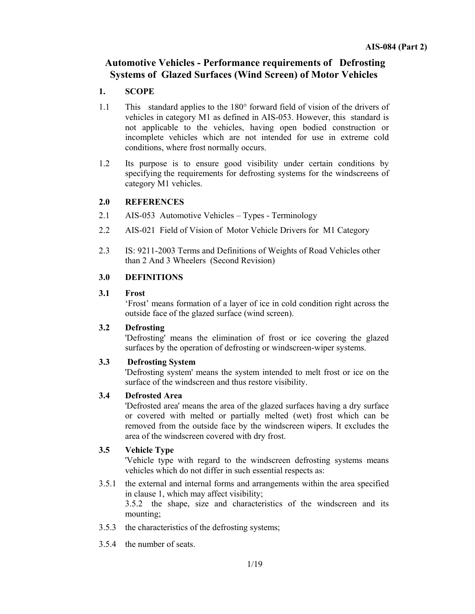# **Automotive Vehicles - Performance requirements of Defrosting Systems of Glazed Surfaces (Wind Screen) of Motor Vehicles**

# **1. SCOPE**

- 1.1 This standard applies to the 180° forward field of vision of the drivers of vehicles in category M1 as defined in AIS-053. However, this standard is not applicable to the vehicles, having open bodied construction or incomplete vehicles which are not intended for use in extreme cold conditions, where frost normally occurs.
- 1.2 Its purpose is to ensure good visibility under certain conditions by specifying the requirements for defrosting systems for the windscreens of category M1 vehicles.

# **2.0 REFERENCES**

- 2.1 AIS-053 Automotive Vehicles Types Terminology
- 2.2 AIS-021 Field of Vision of Motor Vehicle Drivers for M1 Category
- 2.3 IS: 9211-2003 Terms and Definitions of Weights of Road Vehicles other than 2 And 3 Wheelers (Second Revision)

# **3.0 DEFINITIONS**

#### **3.1 Frost**

'Frost' means formation of a layer of ice in cold condition right across the outside face of the glazed surface (wind screen).

#### **3.2 Defrosting**

 'Defrosting' means the elimination of frost or ice covering the glazed surfaces by the operation of defrosting or windscreen-wiper systems.

# **3.3 Defrosting System**

'Defrosting system' means the system intended to melt frost or ice on the surface of the windscreen and thus restore visibility.

# **3.4 Defrosted Area**

'Defrosted area' means the area of the glazed surfaces having a dry surface or covered with melted or partially melted (wet) frost which can be removed from the outside face by the windscreen wipers. It excludes the area of the windscreen covered with dry frost.

# **3.5 Vehicle Type**

 'Vehicle type with regard to the windscreen defrosting systems means vehicles which do not differ in such essential respects as:

3.5.1 the external and internal forms and arrangements within the area specified in clause 1, which may affect visibility;

3.5.2 the shape, size and characteristics of the windscreen and its mounting;

- 3.5.3 the characteristics of the defrosting systems;
- 3.5.4 the number of seats.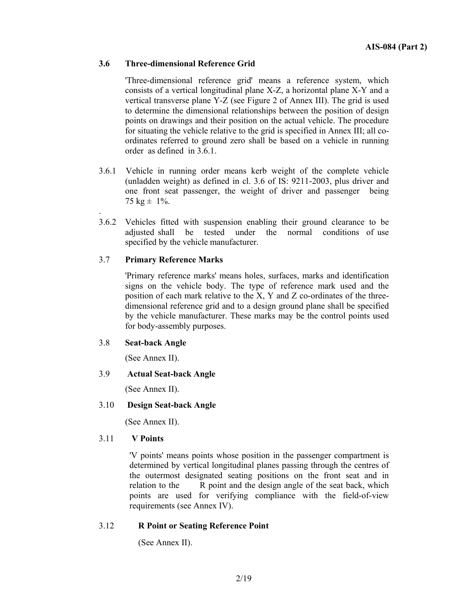# **3.6 Three-dimensional Reference Grid**

'Three-dimensional reference grid' means a reference system, which consists of a vertical longitudinal plane X-Z, a horizontal plane X-Y and a vertical transverse plane Y-Z (see Figure 2 of Annex III). The grid is used to determine the dimensional relationships between the position of design points on drawings and their position on the actual vehicle. The procedure for situating the vehicle relative to the grid is specified in Annex III; all coordinates referred to ground zero shall be based on a vehicle in running order as defined in 3.6.1.

- 3.6.1 Vehicle in running order means kerb weight of the complete vehicle (unladden weight) as defined in cl. 3.6 of IS: 9211-2003, plus driver and one front seat passenger, the weight of driver and passenger being 75 kg  $\pm$  1%.
- 3.6.2 Vehicles fitted with suspension enabling their ground clearance to be adjusted shall be tested under the normal conditions of use specified by the vehicle manufacturer.

#### 3.7 **Primary Reference Marks**

'Primary reference marks' means holes, surfaces, marks and identification signs on the vehicle body. The type of reference mark used and the position of each mark relative to the X, Y and Z co-ordinates of the threedimensional reference grid and to a design ground plane shall be specified by the vehicle manufacturer. These marks may be the control points used for body-assembly purposes.

#### 3.8 **Seat-back Angle**

.

(See Annex II).

#### 3.9 **Actual Seat-back Angle**

(See Annex II).

#### 3.10 **Design Seat-back Angle**

(See Annex II).

#### 3.11 **V Points**

 'V points' means points whose position in the passenger compartment is determined by vertical longitudinal planes passing through the centres of the outermost designated seating positions on the front seat and in relation to the R point and the design angle of the seat back, which points are used for verifying compliance with the field-of-view requirements (see Annex IV).

#### 3.12 **R Point or Seating Reference Point**

(See Annex II).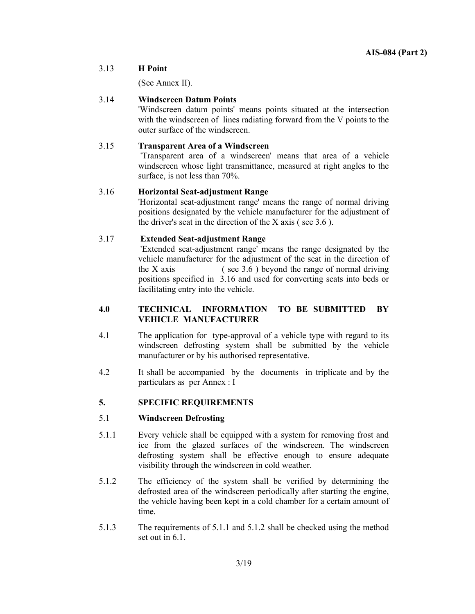#### 3.13 **H Point**

(See Annex II).

# 3.14 **Windscreen Datum Points**

 'Windscreen datum points' means points situated at the intersection with the windscreen of lines radiating forward from the V points to the outer surface of the windscreen.

# 3.15 **Transparent Area of a Windscreen**

 'Transparent area of a windscreen' means that area of a vehicle windscreen whose light transmittance, measured at right angles to the surface, is not less than 70%.

#### 3.16 **Horizontal Seat-adjustment Range**

 'Horizontal seat-adjustment range' means the range of normal driving positions designated by the vehicle manufacturer for the adjustment of the driver's seat in the direction of the X axis ( see 3.6 ).

# 3.17 **Extended Seat-adjustment Range**

 'Extended seat-adjustment range' means the range designated by the vehicle manufacturer for the adjustment of the seat in the direction of the X axis  $($  see 3.6  $)$  beyond the range of normal driving positions specified in 3.16 and used for converting seats into beds or facilitating entry into the vehicle.

#### **4.0 TECHNICAL INFORMATION TO BE SUBMITTED BY VEHICLE MANUFACTURER**

- 4.1 The application for type-approval of a vehicle type with regard to its windscreen defrosting system shall be submitted by the vehicle manufacturer or by his authorised representative.
- 4.2 It shall be accompanied by the documents in triplicate and by the particulars as per Annex : I

# **5. SPECIFIC REQUIREMENTS**

#### 5.1 **Windscreen Defrosting**

- 5.1.1 Every vehicle shall be equipped with a system for removing frost and ice from the glazed surfaces of the windscreen. The windscreen defrosting system shall be effective enough to ensure adequate visibility through the windscreen in cold weather.
- 5.1.2 The efficiency of the system shall be verified by determining the defrosted area of the windscreen periodically after starting the engine, the vehicle having been kept in a cold chamber for a certain amount of time.
- 5.1.3 The requirements of 5.1.1 and 5.1.2 shall be checked using the method set out in 6.1.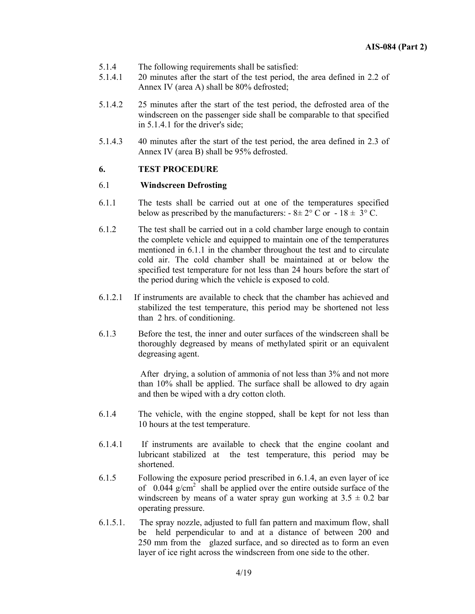- 5.1.4 The following requirements shall be satisfied:
- 5.1.4.1 20 minutes after the start of the test period, the area defined in 2.2 of Annex IV (area A) shall be 80% defrosted;
- 5.1.4.2 25 minutes after the start of the test period, the defrosted area of the windscreen on the passenger side shall be comparable to that specified in 5.1.4.1 for the driver's side;
- 5.1.4.3 40 minutes after the start of the test period, the area defined in 2.3 of Annex IV (area B) shall be 95% defrosted.

#### **6. TEST PROCEDURE**

#### 6.1 **Windscreen Defrosting**

- 6.1.1 The tests shall be carried out at one of the temperatures specified below as prescribed by the manufacturers:  $-8 \pm 2^{\circ}$  C or  $-18 \pm 3^{\circ}$  C.
- 6.1.2 The test shall be carried out in a cold chamber large enough to contain the complete vehicle and equipped to maintain one of the temperatures mentioned in 6.1.1 in the chamber throughout the test and to circulate cold air. The cold chamber shall be maintained at or below the specified test temperature for not less than 24 hours before the start of the period during which the vehicle is exposed to cold.
- 6.1.2.1 If instruments are available to check that the chamber has achieved and stabilized the test temperature, this period may be shortened not less than 2 hrs. of conditioning.
- 6.1.3 Before the test, the inner and outer surfaces of the windscreen shall be thoroughly degreased by means of methylated spirit or an equivalent degreasing agent.

 After drying, a solution of ammonia of not less than 3% and not more than 10% shall be applied. The surface shall be allowed to dry again and then be wiped with a dry cotton cloth.

- 6.1.4 The vehicle, with the engine stopped, shall be kept for not less than 10 hours at the test temperature.
- 6.1.4.1 If instruments are available to check that the engine coolant and lubricant stabilized at the test temperature, this period may be shortened.
- 6.1.5 Following the exposure period prescribed in 6.1.4, an even layer of ice of  $0.044$  g/cm<sup>2</sup> shall be applied over the entire outside surface of the windscreen by means of a water spray gun working at  $3.5 \pm 0.2$  bar operating pressure.
- 6.1.5.1. The spray nozzle, adjusted to full fan pattern and maximum flow, shall be held perpendicular to and at a distance of between 200 and 250 mm from the glazed surface, and so directed as to form an even layer of ice right across the windscreen from one side to the other.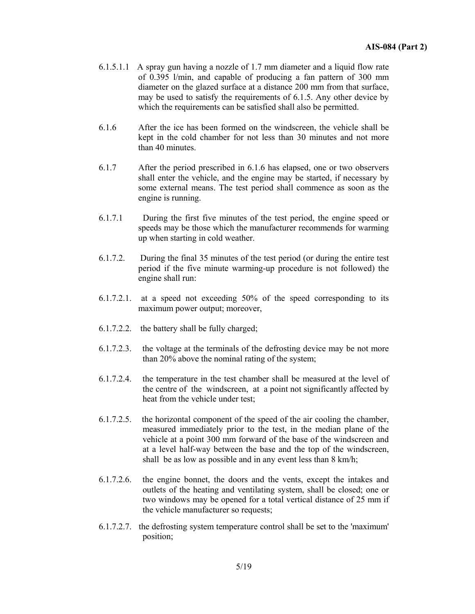- 6.1.5.1.1 A spray gun having a nozzle of 1.7 mm diameter and a liquid flow rate of 0.395 l/min, and capable of producing a fan pattern of 300 mm diameter on the glazed surface at a distance 200 mm from that surface, may be used to satisfy the requirements of 6.1.5. Any other device by which the requirements can be satisfied shall also be permitted.
- 6.1.6After the ice has been formed on the windscreen, the vehicle shall be kept in the cold chamber for not less than 30 minutes and not more than 40 minutes.
- 6.1.7After the period prescribed in 6.1.6 has elapsed, one or two observers shall enter the vehicle, and the engine may be started, if necessary by some external means. The test period shall commence as soon as the engine is running.
- 6.1.7.1 During the first five minutes of the test period, the engine speed or speeds may be those which the manufacturer recommends for warming up when starting in cold weather.
- 6.1.7.2. During the final 35 minutes of the test period (or during the entire test period if the five minute warming-up procedure is not followed) the engine shall run:
- 6.1.7.2.1. at a speed not exceeding 50% of the speed corresponding to its maximum power output; moreover,
- 6.1.7.2.2. the battery shall be fully charged;
- 6.1.7.2.3. the voltage at the terminals of the defrosting device may be not more than 20% above the nominal rating of the system;
- 6.1.7.2.4. the temperature in the test chamber shall be measured at the level of the centre of the windscreen, at a point not significantly affected by heat from the vehicle under test;
- 6.1.7.2.5. the horizontal component of the speed of the air cooling the chamber, measured immediately prior to the test, in the median plane of the vehicle at a point 300 mm forward of the base of the windscreen and at a level half-way between the base and the top of the windscreen, shall be as low as possible and in any event less than 8 km/h;
- 6.1.7.2.6. the engine bonnet, the doors and the vents, except the intakes and outlets of the heating and ventilating system, shall be closed; one or two windows may be opened for a total vertical distance of 25 mm if the vehicle manufacturer so requests;
- 6.1.7.2.7. the defrosting system temperature control shall be set to the 'maximum' position;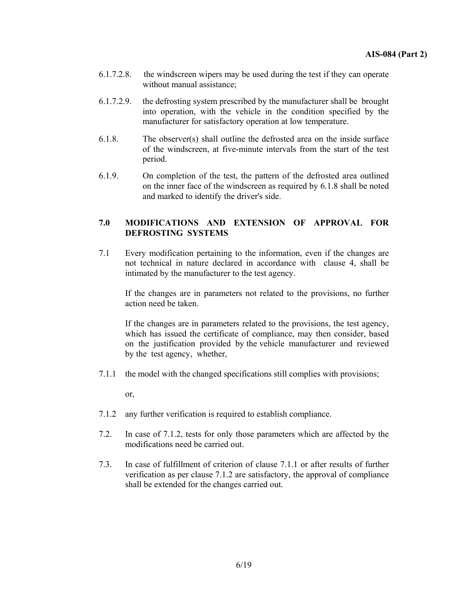- 6.1.7.2.8. the windscreen wipers may be used during the test if they can operate without manual assistance;
- 6.1.7.2.9. the defrosting system prescribed by the manufacturer shall be brought into operation, with the vehicle in the condition specified by the manufacturer for satisfactory operation at low temperature.
- 6.1.8.The observer(s) shall outline the defrosted area on the inside surface of the windscreen, at five-minute intervals from the start of the test period.
- 6.1.9.On completion of the test, the pattern of the defrosted area outlined on the inner face of the windscreen as required by 6.1.8 shall be noted and marked to identify the driver's side.

#### **7.0 MODIFICATIONS AND EXTENSION OF APPROVAL FOR DEFROSTING SYSTEMS**

7.1 Every modification pertaining to the information, even if the changes are not technical in nature declared in accordance with clause 4, shall be intimated by the manufacturer to the test agency.

If the changes are in parameters not related to the provisions, no further action need be taken.

If the changes are in parameters related to the provisions, the test agency, which has issued the certificate of compliance, may then consider, based on the justification provided by the vehicle manufacturer and reviewed by the test agency, whether,

7.1.1 the model with the changed specifications still complies with provisions;

or,

- 7.1.2 any further verification is required to establish compliance.
- 7.2. In case of 7.1.2, tests for only those parameters which are affected by the modifications need be carried out.
- 7.3. In case of fulfillment of criterion of clause 7.1.1 or after results of further verification as per clause 7.1.2 are satisfactory, the approval of compliance shall be extended for the changes carried out.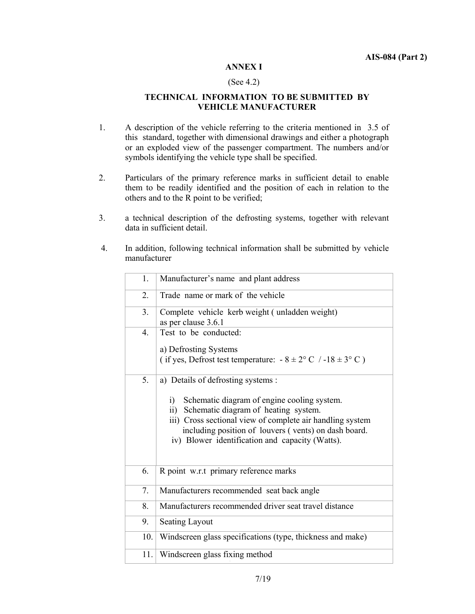#### **ANNEX I**

#### (See 4.2)

#### **TECHNICAL INFORMATION TO BE SUBMITTED BY VEHICLE MANUFACTURER**

- 1. A description of the vehicle referring to the criteria mentioned in 3.5 of this standard, together with dimensional drawings and either a photograph or an exploded view of the passenger compartment. The numbers and/or symbols identifying the vehicle type shall be specified.
- 2. Particulars of the primary reference marks in sufficient detail to enable them to be readily identified and the position of each in relation to the others and to the R point to be verified;
- 3. a technical description of the defrosting systems, together with relevant data in sufficient detail.
- 4. In addition, following technical information shall be submitted by vehicle manufacturer

| 1.               | Manufacturer's name and plant address                                                                                                                                                                                                                                                                                              |
|------------------|------------------------------------------------------------------------------------------------------------------------------------------------------------------------------------------------------------------------------------------------------------------------------------------------------------------------------------|
| 2.               | Trade name or mark of the vehicle                                                                                                                                                                                                                                                                                                  |
| 3.               | Complete vehicle kerb weight (unladden weight)<br>as per clause 3.6.1                                                                                                                                                                                                                                                              |
| $\overline{4}$ . | Test to be conducted:<br>a) Defrosting Systems<br>(if yes, Defrost test temperature: $-8 \pm 2^{\circ}$ C / $-18 \pm 3^{\circ}$ C)                                                                                                                                                                                                 |
| 5.               | a) Details of defrosting systems :<br>Schematic diagram of engine cooling system.<br>$\ddot{1}$<br>Schematic diagram of heating system.<br>$\overline{11}$<br>iii) Cross sectional view of complete air handling system<br>including position of louvers (vents) on dash board.<br>iv) Blower identification and capacity (Watts). |
| 6.               | R point w.r.t primary reference marks                                                                                                                                                                                                                                                                                              |
| 7.               | Manufacturers recommended seat back angle                                                                                                                                                                                                                                                                                          |
| 8.               | Manufacturers recommended driver seat travel distance                                                                                                                                                                                                                                                                              |
| 9.               | <b>Seating Layout</b>                                                                                                                                                                                                                                                                                                              |
| 10.              | Windscreen glass specifications (type, thickness and make)                                                                                                                                                                                                                                                                         |
| 11.              | Windscreen glass fixing method                                                                                                                                                                                                                                                                                                     |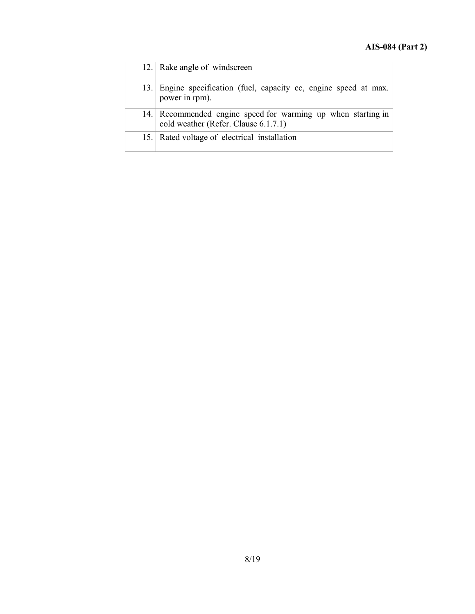|      | 12. Rake angle of windscreen                                                                         |
|------|------------------------------------------------------------------------------------------------------|
| 13.1 | Engine specification (fuel, capacity cc, engine speed at max.<br>power in rpm).                      |
|      | 14. Recommended engine speed for warming up when starting in<br>cold weather (Refer. Clause 6.1.7.1) |
|      | 15. Rated voltage of electrical installation                                                         |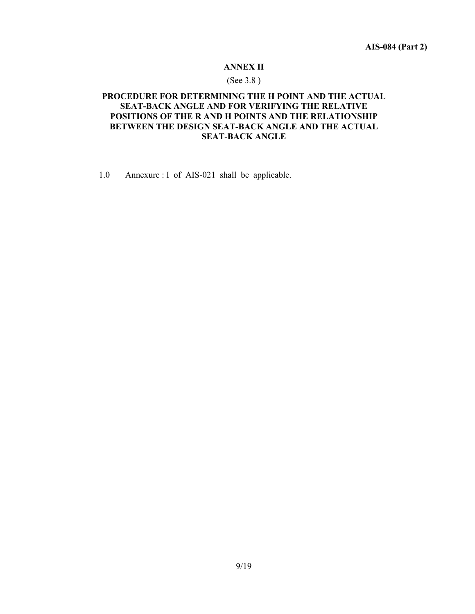#### **ANNEX II**

#### (See 3.8 )

#### **PROCEDURE FOR DETERMINING THE H POINT AND THE ACTUAL SEAT-BACK ANGLE AND FOR VERIFYING THE RELATIVE POSITIONS OF THE R AND H POINTS AND THE RELATIONSHIP BETWEEN THE DESIGN SEAT-BACK ANGLE AND THE ACTUAL SEAT-BACK ANGLE**

1.0 Annexure : I of AIS-021 shall be applicable.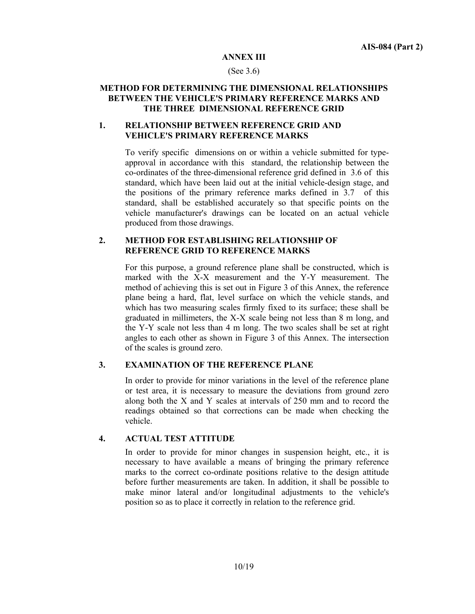#### **ANNEX III**

#### (See 3.6)

#### **METHOD FOR DETERMINING THE DIMENSIONAL RELATIONSHIPS BETWEEN THE VEHICLE'S PRIMARY REFERENCE MARKS AND THE THREE DIMENSIONAL REFERENCE GRID**

#### **1. RELATIONSHIP BETWEEN REFERENCE GRID AND VEHICLE'S PRIMARY REFERENCE MARKS**

To verify specific dimensions on or within a vehicle submitted for typeapproval in accordance with this standard, the relationship between the co-ordinates of the three-dimensional reference grid defined in 3.6 of this standard, which have been laid out at the initial vehicle-design stage, and the positions of the primary reference marks defined in 3.7 of this standard, shall be established accurately so that specific points on the vehicle manufacturer's drawings can be located on an actual vehicle produced from those drawings.

#### **2. METHOD FOR ESTABLISHING RELATIONSHIP OF REFERENCE GRID TO REFERENCE MARKS**

For this purpose, a ground reference plane shall be constructed, which is marked with the X-X measurement and the Y-Y measurement. The method of achieving this is set out in Figure 3 of this Annex, the reference plane being a hard, flat, level surface on which the vehicle stands, and which has two measuring scales firmly fixed to its surface; these shall be graduated in millimeters, the X-X scale being not less than 8 m long, and the Y-Y scale not less than 4 m long. The two scales shall be set at right angles to each other as shown in Figure 3 of this Annex. The intersection of the scales is ground zero.

#### **3. EXAMINATION OF THE REFERENCE PLANE**

In order to provide for minor variations in the level of the reference plane or test area, it is necessary to measure the deviations from ground zero along both the X and Y scales at intervals of 250 mm and to record the readings obtained so that corrections can be made when checking the vehicle.

#### **4. ACTUAL TEST ATTITUDE**

In order to provide for minor changes in suspension height, etc., it is necessary to have available a means of bringing the primary reference marks to the correct co-ordinate positions relative to the design attitude before further measurements are taken. In addition, it shall be possible to make minor lateral and/or longitudinal adjustments to the vehicle's position so as to place it correctly in relation to the reference grid.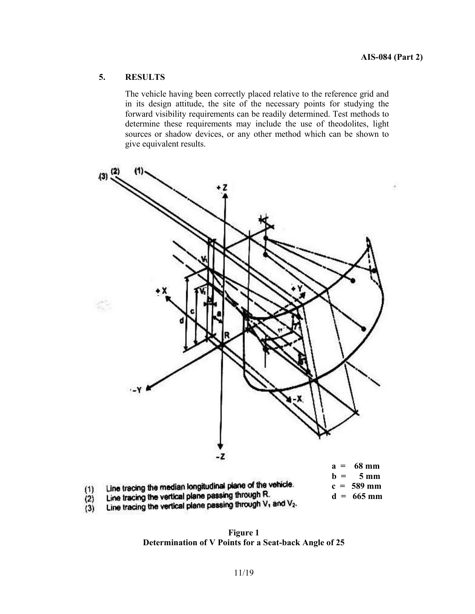# **5. RESULTS**

The vehicle having been correctly placed relative to the reference grid and in its design attitude, the site of the necessary points for studying the forward visibility requirements can be readily determined. Test methods to determine these requirements may include the use of theodolites, light sources or shadow devices, or any other method which can be shown to give equivalent results.



Line tracing the vertical plane passing through V<sub>1</sub> and V<sub>2</sub>.<br>Line tracing the vertical plane passing through V<sub>1</sub> and V<sub>2</sub>.  $(3)$ 

**Figure 1 Determination of V Points for a Seat-back Angle of 25**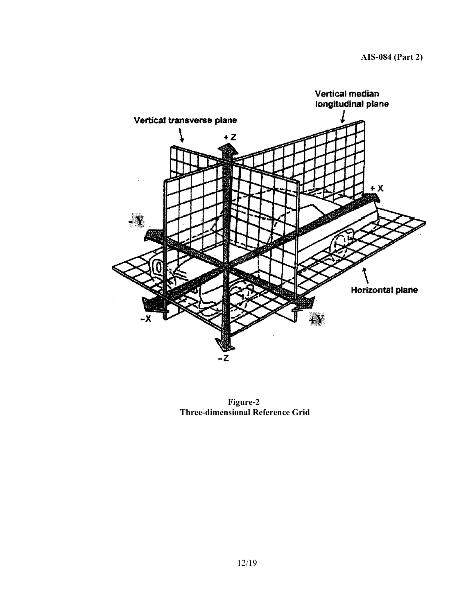

**Figure-2 Three-dimensional Reference Grid**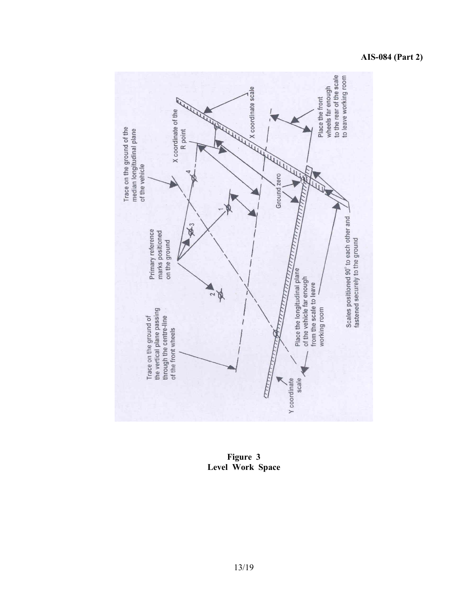# **AIS-084 (Part 2)**



**Figure 3 Level Work Space**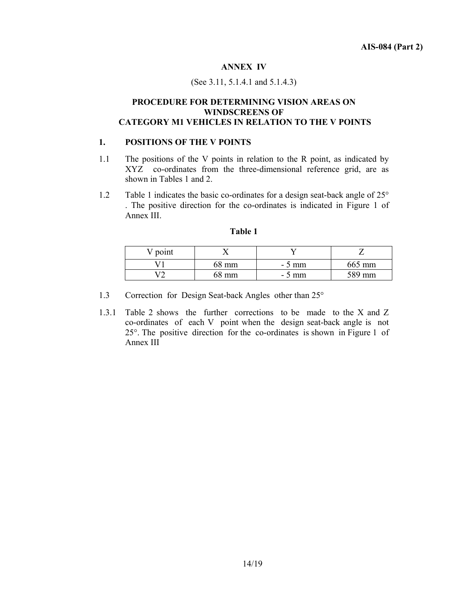#### **ANNEX IV**

#### (See 3.11, 5.1.4.1 and 5.1.4.3)

#### **PROCEDURE FOR DETERMINING VISION AREAS ON WINDSCREENS OF CATEGORY M1 VEHICLES IN RELATION TO THE V POINTS**

#### **1. POSITIONS OF THE V POINTS**

- 1.1 The positions of the V points in relation to the R point, as indicated by XYZ co-ordinates from the three-dimensional reference grid, are as shown in Tables 1 and 2.
- 1.2 Table 1 indicates the basic co-ordinates for a design seat-back angle of 25° . The positive direction for the co-ordinates is indicated in Figure 1 of Annex III.

| $\gamma$ point |       |         |        |
|----------------|-------|---------|--------|
|                | 68 mm | $-5$ mm | 665 mm |
| $\mathbf{z}$   | 68 mm | $-5$ mm | 589 mm |

#### **Table 1**

- 1.3 Correction for Design Seat-back Angles other than 25°
- 1.3.1 Table 2 shows the further corrections to be made to the X and Z co-ordinates of each V point when the design seat-back angle is not 25°. The positive direction for the co-ordinates is shown in Figure 1 of Annex III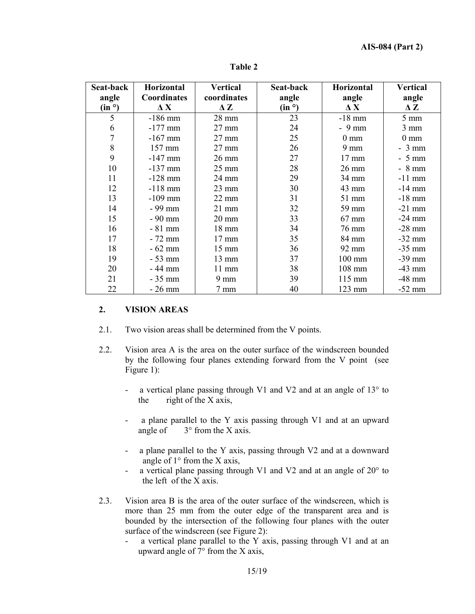| Seat-back          | Horizontal         | <b>Vertical</b> | Seat-back          | Horizontal       | <b>Vertical</b> |
|--------------------|--------------------|-----------------|--------------------|------------------|-----------------|
| angle              | <b>Coordinates</b> | coordinates     | angle              | angle            | angle           |
| (in <sup>o</sup> ) | $\Delta$ X         | $\Delta Z$      | (in <sup>o</sup> ) | $\Delta$ X       | $\Delta Z$      |
| 5                  | $-186$ mm          | 28 mm           | 23                 | $-18$ mm         | $5 \text{ mm}$  |
| 6                  | $-177$ mm          | 27 mm           | 24                 | $-9$ mm          | $3 \text{ mm}$  |
|                    | $-167$ mm          | 27 mm           | 25                 | $0 \text{ mm}$   | $0 \text{ mm}$  |
| 8                  | 157 mm             | $27 \text{ mm}$ | 26                 | $9 \text{ mm}$   | $-3$ mm         |
| 9                  | $-147$ mm          | $26 \text{ mm}$ | 27                 | $17 \text{ mm}$  | - 5 mm          |
| 10                 | $-137$ mm          | $25 \text{ mm}$ | 28                 | 26 mm            | $-8$ mm         |
| 11                 | $-128$ mm          | 24 mm           | 29                 | 34 mm            | $-11$ mm        |
| 12                 | $-118$ mm          | $23$ mm         | 30                 | 43 mm            | $-14$ mm        |
| 13                 | $-109$ mm          | $22 \text{ mm}$ | 31                 | $51$ mm          | $-18$ mm        |
| 14                 | - 99 mm            | $21$ mm         | 32                 | 59 mm            | $-21$ mm        |
| 15                 | $-90$ mm           | $20 \text{ mm}$ | 33                 | $67$ mm          | $-24$ mm        |
| 16                 | $-81$ mm           | 18 mm           | 34                 | 76 mm            | $-28$ mm        |
| 17                 | $-72$ mm           | $17 \text{ mm}$ | 35                 | 84 mm            | $-32$ mm        |
| 18                 | $-62$ mm           | $15 \text{ mm}$ | 36                 | 92 mm            | $-35$ mm        |
| 19                 | $-53$ mm           | 13 mm           | 37                 | $100 \text{ mm}$ | $-39$ mm        |
| 20                 | - 44 mm            | $11 \text{ mm}$ | 38                 | 108 mm           | $-43$ mm        |
| 21                 | $-35$ mm           | $9 \text{ mm}$  | 39                 | 115 mm           | $-48$ mm        |
| 22                 | $-26$ mm           | $7 \text{ mm}$  | 40                 | 123 mm           | $-52$ mm        |

**Table 2** 

# **2. VISION AREAS**

- 2.1.Two vision areas shall be determined from the V points.
- 2.2.Vision area A is the area on the outer surface of the windscreen bounded by the following four planes extending forward from the V point (see Figure 1):
	- a vertical plane passing through V1 and V2 and at an angle of 13° to the right of the X axis,
	- a plane parallel to the Y axis passing through V1 and at an upward angle of  $3^\circ$  from the X axis.
	- a plane parallel to the Y axis, passing through V2 and at a downward angle of  $1^{\circ}$  from the X axis,
	- a vertical plane passing through V1 and V2 and at an angle of  $20^{\circ}$  to the left of the X axis.
- 2.3.Vision area B is the area of the outer surface of the windscreen, which is more than 25 mm from the outer edge of the transparent area and is bounded by the intersection of the following four planes with the outer surface of the windscreen (see Figure 2):
	- a vertical plane parallel to the Y axis, passing through V1 and at an upward angle of  $7^\circ$  from the X axis,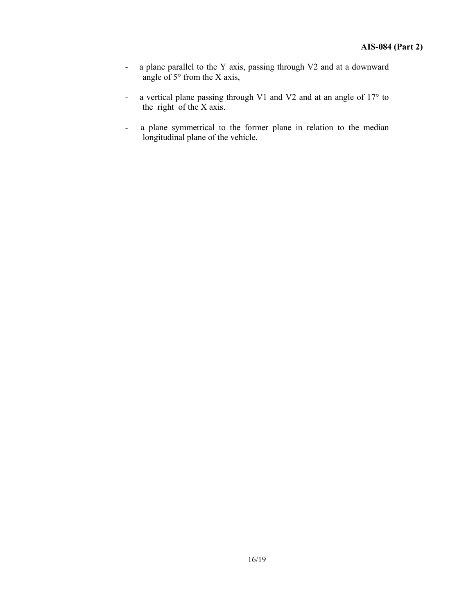- a plane parallel to the Y axis, passing through V2 and at a downward angle of  $5^{\circ}$  from the X axis,
- a vertical plane passing through V1 and V2 and at an angle of 17° to the right of the  $X$  axis.
- a plane symmetrical to the former plane in relation to the median longitudinal plane of the vehicle.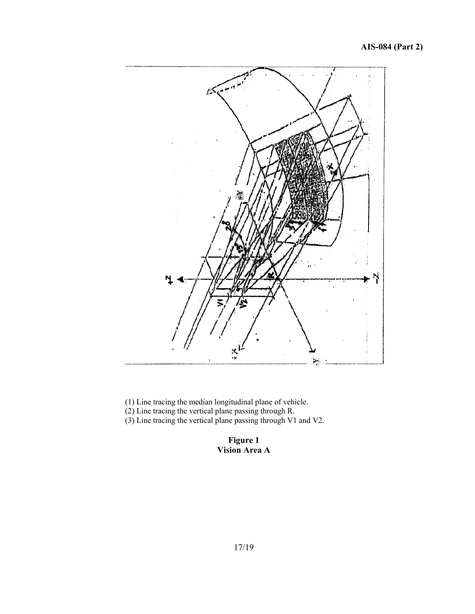

- (1) Line tracing the median longitudinal plane of vehicle.
- (2) Line tracing the vertical plane passing through R.
- (3) Line tracing the vertical plane passing through V1 and V2.

#### **Figure 1 Vision Area A**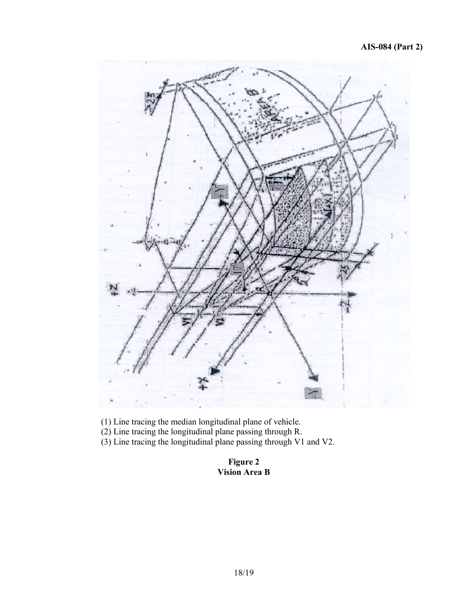

(1) Line tracing the median longitudinal plane of vehicle.

(2) Line tracing the longitudinal plane passing through R.

(3) Line tracing the longitudinal plane passing through V1 and V2.

**Figure 2 Vision Area B**